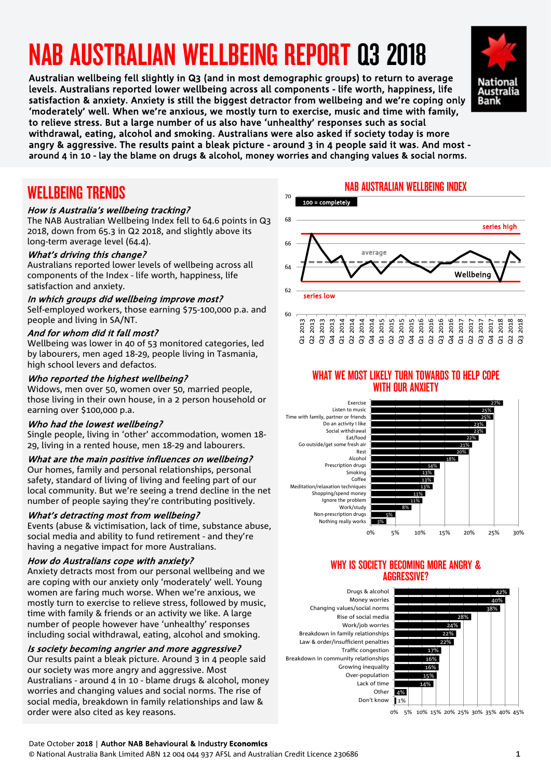# NAB AUSTRALIAN WELLBEING REPORT Q3 2018

 levels. Australians reported lower wellbeing across all components - life worth, happiness, life Australian wellbeing fell slightly in Q3 (and in most demographic groups) to return to average satisfaction & anxiety. Anxiety is still the biggest detractor from wellbeing and we're coping only 'moderately' well. When we're anxious, we mostly turn to exercise, music and time with family, to relieve stress. But a large number of us also have 'unhealthy' responses such as social withdrawal, eating, alcohol and smoking. Australians were also asked if society today is more angry & aggressive. The results paint a bleak picture - around 3 in 4 people said it was. And most around 4 in 10 - lay the blame on drugs & alcohol, money worries and changing values & social norms.



### WELLBEING TRENDS

#### How is Australia's wellbeing tracking?

The NAB Australian Wellbeing Index fell to 64.6 points in Q3 2018, down from 65.3 in Q2 2018, and slightly above its long-term average level (64.4).

#### What's driving this change?

Australians reported lower levels of wellbeing across all components of the Index - life worth, happiness, life satisfaction and anxiety.

#### In which groups did wellbeing improve most?

Self-employed workers, those earning \$75-100,000 p.a. and people and living in SA/NT.

#### And for whom did it fall most?

Wellbeing was lower in 40 of 53 monitored categories, led by labourers, men aged 18-29, people living in Tasmania, high school levers and defactos.

#### Who reported the highest wellbeing?

Widows, men over 50, women over 50, married people, those living in their own house, in a 2 person household or earning over \$100,000 p.a.

#### Who had the lowest wellbeing?

Single people, living in 'other' accommodation, women 18- 29, living in a rented house, men 18-29 and labourers.

#### What are the main positive influences on wellbeing?

Our homes, family and personal relationships, personal safety, standard of living of living and feeling part of our local community. But we're seeing a trend decline in the net number of people saying they're contributing positively.

#### What's detracting most from wellbeing?

Events (abuse & victimisation, lack of time, substance abuse, social media and ability to fund retirement - and they're having a negative impact for more Australians.

#### How do Australians cope with anxiety?

Anxiety detracts most from our personal wellbeing and we are coping with our anxiety only 'moderately' well. Young women are faring much worse. When we're anxious, we mostly turn to exercise to relieve stress, followed by music, time with family & friends or an activity we like. A large number of people however have 'unhealthy' responses including social withdrawal, eating, alcohol and smoking.

#### Is society becoming angrier and more aggressive?

Our results paint a bleak picture. Around 3 in 4 people said our society was more angry and aggressive. Most Australians - around 4 in 10 - blame drugs & alcohol, money worries and changing values and social norms. The rise of social media, breakdown in family relationships and law & order were also cited as key reasons.

#### NAB AUSTRALIAN WELLBEING INDEX



#### WHAT WE MOST LIKELY TURN TOWARDS TO HELP COPE WITH OUR ANXIETY



#### WHY IS SOCIETY BECOMING MORE ANGRY & AGGRESSIVE?

Don't know Other Lack of time Over-population Growing inequality Breakdown in community relationships Traffic congestion Law & order/insufficient penalties Breakdown in family relationships Work/job worries Rise of social media Changing values/social norms Money worries Drugs & alcohol



0% 5% 10% 15% 20% 25% 30% 35% 40% 45%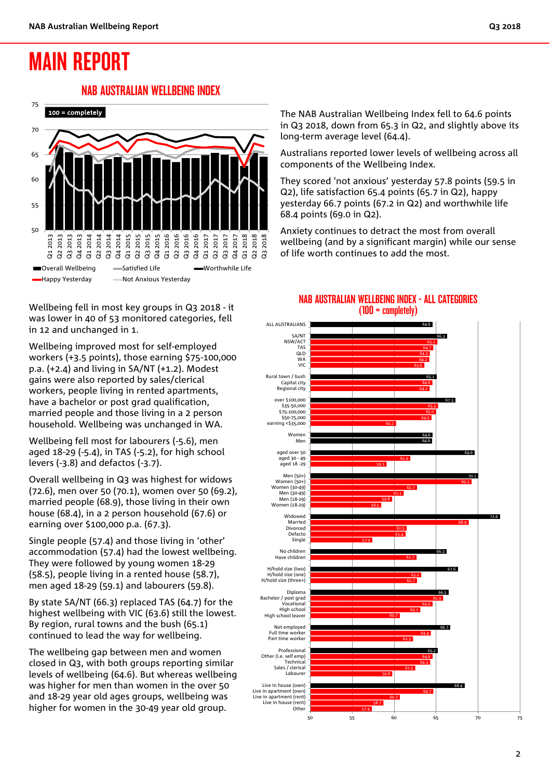# MAIN REPORT

#### NAB AUSTRALIAN WELLBEING INDEX



Wellbeing fell in most key groups in Q3 2018 - it was lower in 40 of 53 monitored categories, fell in 12 and unchanged in 1.

Wellbeing improved most for self-employed workers (+3.5 points), those earning \$75-100,000 p.a. (+2.4) and living in SA/NT (+1.2). Modest gains were also reported by sales/clerical workers, people living in rented apartments, have a bachelor or post grad qualification. married people and those living in a 2 person household. Wellbeing was unchanged in WA.

Wellbeing fell most for labourers (-5.6), men aged 18-29 (-5.4), in TAS (-5.2), for high school levers (-3.8) and defactos (-3.7).

Overall wellbeing in Q3 was highest for widows (72.6), men over 50 (70.1), women over 50 (69.2), married people (68.9), those living in their own house (68.4), in a 2 person household (67.6) or earning over \$100,000 p.a. (67.3).

Single people (57.4) and those living in 'other' accommodation (57.4) had the lowest wellbeing. They were followed by young women 18-29 (58.5), people living in a rented house (58.7), men aged 18-29 (59.1) and labourers (59.8).

By state SA/NT (66.3) replaced TAS (64.7) for the highest wellbeing with VIC (63.6) still the lowest. By region, rural towns and the bush (65.1) continued to lead the way for wellbeing.

The wellbeing gap between men and women closed in Q3, with both groups reporting similar levels of wellbeing (64.6). But whereas wellbeing was higher for men than women in the over 50 and 18-29 year old ages groups, wellbeing was higher for women in the 30-49 year old group.

The NAB Australian Wellbeing Index fell to 64.6 points in Q3 2018, down from 65.3 in Q2, and slightly above its long-term average level (64.4).

Australians reported lower levels of wellbeing across all components of the Wellbeing Index.

They scored 'not anxious' yesterday 57.8 points (59.5 in Q2), life satisfaction 65.4 points (65.7 in Q2), happy yesterday 66.7 points (67.2 in Q2) and worthwhile life 68.4 points (69.0 in Q2).

Anxiety continues to detract the most from overall wellbeing (and by a significant margin) while our sense of life worth continues to add the most.



#### NAB AUSTRALIAN WELLBEING INDEX - ALL CATEGORIES (100 = completely)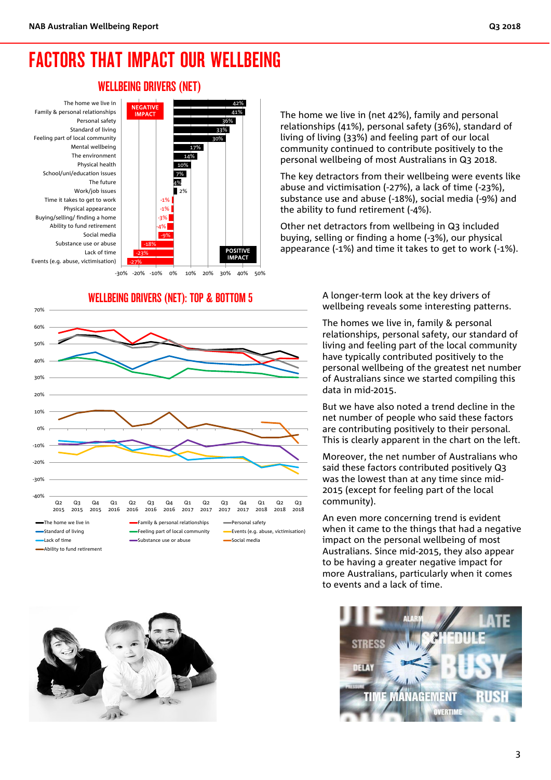### FACTORS THAT IMPACT OUR WELLBEING

#### WELLBEING DRIVERS (NET)



WELLBEING DRIVERS (NET): TOP & BOTTOM 5





The home we live in (net 42%), family and personal relationships (41%), personal safety (36%), standard of living of living (33%) and feeling part of our local community continued to contribute positively to the personal wellbeing of most Australians in Q3 2018.

The key detractors from their wellbeing were events like abuse and victimisation (-27%), a lack of time (-23%), substance use and abuse (-18%), social media (-9%) and the ability to fund retirement (-4%).

Other net detractors from wellbeing in Q3 included buying, selling or finding a home (-3%), our physical appearance (-1%) and time it takes to get to work (-1%).

> A longer-term look at the key drivers of wellbeing reveals some interesting patterns.

The homes we live in, family & personal relationships, personal safety, our standard of living and feeling part of the local community have typically contributed positively to the personal wellbeing of the greatest net number of Australians since we started compiling this data in mid-2015.

But we have also noted a trend decline in the net number of people who said these factors are contributing positively to their personal. This is clearly apparent in the chart on the left.

Moreover, the net number of Australians who said these factors contributed positively Q3 was the lowest than at any time since mid-2015 (except for feeling part of the local community).

An even more concerning trend is evident when it came to the things that had a negative impact on the personal wellbeing of most Australians. Since mid-2015, they also appear to be having a greater negative impact for more Australians, particularly when it comes to events and a lack of time.

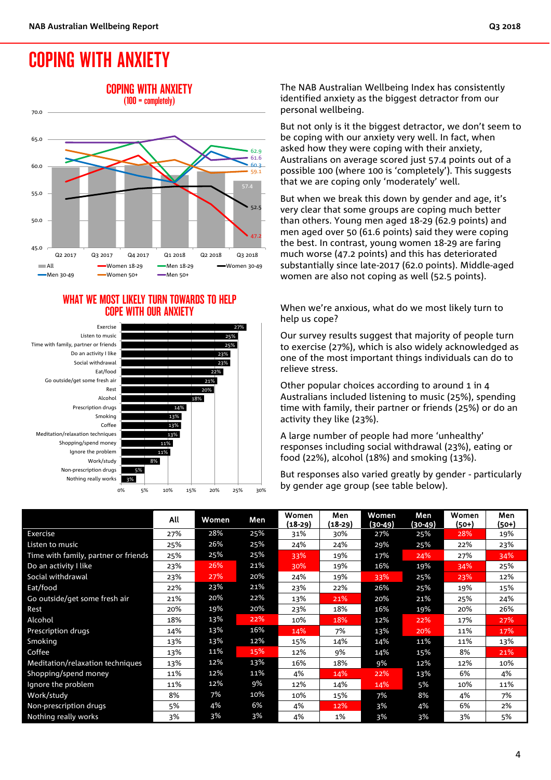# COPING WITH ANXIETY



#### WHAT WE MOST LIKELY TURN TOWARDS TO HELP COPE WITH OUR ANXIETY



The NAB Australian Wellbeing Index has consistently identified anxiety as the biggest detractor from our personal wellbeing.

But not only is it the biggest detractor, we don't seem to be coping with our anxiety very well. In fact, when asked how they were coping with their anxiety, Australians on average scored just 57.4 points out of a possible 100 (where 100 is 'completely'). This suggests that we are coping only 'moderately' well.

But when we break this down by gender and age, it's very clear that some groups are coping much better than others. Young men aged 18-29 (62.9 points) and men aged over 50 (61.6 points) said they were coping the best. In contrast, young women 18-29 are faring much worse (47.2 points) and this has deteriorated substantially since late-2017 (62.0 points). Middle-aged women are also not coping as well (52.5 points).

When we're anxious, what do we most likely turn to help us cope?

Our survey results suggest that majority of people turn to exercise (27%), which is also widely acknowledged as one of the most important things individuals can do to relieve stress.

Other popular choices according to around 1 in 4 Australians included listening to music (25%), spending time with family, their partner or friends (25%) or do an activity they like (23%).

A large number of people had more 'unhealthy' responses including social withdrawal (23%), eating or food (22%), alcohol (18%) and smoking (13%).

But responses also varied greatly by gender - particularly by gender age group (see table below).

|                                      | All | Women | Men | Women<br>$(18-29)$ | Men<br>(18-29) | Women<br>(30-49) | Men<br>(30-49) | Women<br>(50+) | Men<br>(50+) |
|--------------------------------------|-----|-------|-----|--------------------|----------------|------------------|----------------|----------------|--------------|
| Exercise                             | 27% | 28%   | 25% | 31%                | 30%            | 27%              | 25%            | 28%            | 19%          |
| Listen to music                      | 25% | 26%   | 25% | 24%                | 24%            | 29%              | 25%            | 22%            | 23%          |
| Time with family, partner or friends | 25% | 25%   | 25% | 33%                | 19%            | 17%              | 24%            | 27%            | 34%          |
| Do an activity I like                | 23% | 26%   | 21% | 30%                | 19%            | 16%              | 19%            | 34%            | 25%          |
| Social withdrawal                    | 23% | 27%   | 20% | 24%                | 19%            | 33%              | 25%            | 23%            | 12%          |
| Eat/food                             | 22% | 23%   | 21% | 23%                | 22%            | 26%              | 25%            | 19%            | 15%          |
| Go outside/get some fresh air        | 21% | 20%   | 22% | 13%                | 21%            | 20%              | 21%            | 25%            | 24%          |
| Rest                                 | 20% | 19%   | 20% | 23%                | 18%            | 16%              | 19%            | 20%            | 26%          |
| Alcohol                              | 18% | 13%   | 22% | 10%                | 18%            | 12%              | 22%            | 17%            | 27%          |
| <b>Prescription drugs</b>            | 14% | 13%   | 16% | 14%                | 7%             | 13%              | 20%            | 11%            | 17%          |
| Smoking                              | 13% | 13%   | 12% | 15%                | 14%            | 14%              | 11%            | 11%            | 13%          |
| Coffee                               | 13% | 11%   | 15% | 12%                | 9%             | 14%              | 15%            | 8%             | 21%          |
| Meditation/relaxation techniques     | 13% | 12%   | 13% | 16%                | 18%            | 9%               | 12%            | 12%            | 10%          |
| Shopping/spend money                 | 11% | 12%   | 11% | 4%                 | 14%            | 22%              | 13%            | 6%             | 4%           |
| Ignore the problem                   | 11% | 12%   | 9%  | 12%                | 14%            | 14%              | 5%             | 10%            | 11%          |
| Work/study                           | 8%  | 7%    | 10% | 10%                | 15%            | 7%               | 8%             | 4%             | 7%           |
| Non-prescription drugs               | 5%  | 4%    | 6%  | 4%                 | 12%            | 3%               | 4%             | 6%             | 2%           |
| Nothing really works                 | 3%  | 3%    | 3%  | 4%                 | 1%             | 3%               | 3%             | 3%             | 5%           |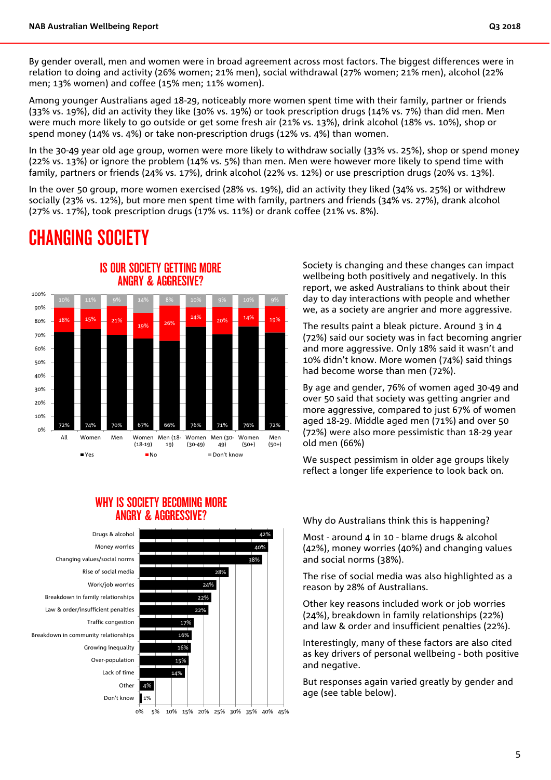By gender overall, men and women were in broad agreement across most factors. The biggest differences were in relation to doing and activity (26% women; 21% men), social withdrawal (27% women; 21% men), alcohol (22% men; 13% women) and coffee (15% men; 11% women).

Among younger Australians aged 18-29, noticeably more women spent time with their family, partner or friends (33% vs. 19%), did an activity they like (30% vs. 19%) or took prescription drugs (14% vs. 7%) than did men. Men were much more likely to go outside or get some fresh air (21% vs. 13%), drink alcohol (18% vs. 10%), shop or spend money (14% vs. 4%) or take non-prescription drugs (12% vs. 4%) than women.

In the 30-49 year old age group, women were more likely to withdraw socially (33% vs. 25%), shop or spend money (22% vs. 13%) or ignore the problem (14% vs. 5%) than men. Men were however more likely to spend time with family, partners or friends (24% vs. 17%), drink alcohol (22% vs. 12%) or use prescription drugs (20% vs. 13%).

In the over 50 group, more women exercised (28% vs. 19%), did an activity they liked (34% vs. 25%) or withdrew socially (23% vs. 12%), but more men spent time with family, partners and friends (34% vs. 27%), drank alcohol (27% vs. 17%), took prescription drugs (17% vs. 11%) or drank coffee (21% vs. 8%).

## CHANGING SOCIETY



#### WHY IS SOCIETY RECOMING MORE ANGRY & AGGRESSIVE?



Society is changing and these changes can impact wellbeing both positively and negatively. In this report, we asked Australians to think about their day to day interactions with people and whether we, as a society are angrier and more aggressive.

The results paint a bleak picture. Around 3 in 4 (72%) said our society was in fact becoming angrier and more aggressive. Only 18% said it wasn't and 10% didn't know. More women (74%) said things had become worse than men (72%).

By age and gender, 76% of women aged 30-49 and over 50 said that society was getting angrier and more aggressive, compared to just 67% of women aged 18-29. Middle aged men (71%) and over 50 (72%) were also more pessimistic than 18-29 year old men (66%)

We suspect pessimism in older age groups likely reflect a longer life experience to look back on.

Why do Australians think this is happening?

Most - around 4 in 10 - blame drugs & alcohol (42%), money worries (40%) and changing values and social norms (38%).

The rise of social media was also highlighted as a reason by 28% of Australians.

Other key reasons included work or job worries (24%), breakdown in family relationships (22%) and law & order and insufficient penalties (22%).

Interestingly, many of these factors are also cited as key drivers of personal wellbeing - both positive and negative.

But responses again varied greatly by gender and age (see table below).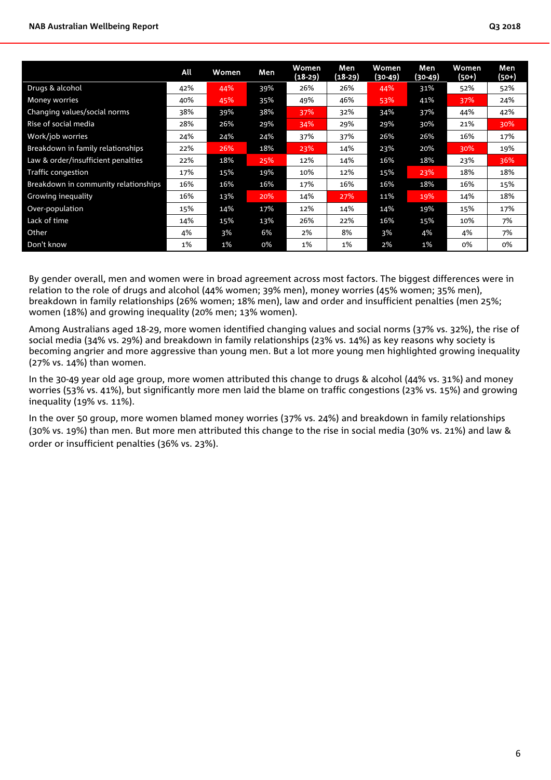|                                      | All | Women | Men | Women<br>$(18-29)$ | Men<br>$(18-29)$ | <b>Women</b><br>(30-49) | Men<br>(30-49) | Women<br>(50+) | Men<br>(50+) |
|--------------------------------------|-----|-------|-----|--------------------|------------------|-------------------------|----------------|----------------|--------------|
| Drugs & alcohol                      | 42% | 44%   | 39% | 26%                | 26%              | 44%                     | 31%            | 52%            | 52%          |
| <b>Money worries</b>                 | 40% | 45%   | 35% | 49%                | 46%              | 53%                     | 41%            | 37%            | 24%          |
| Changing values/social norms         | 38% | 39%   | 38% | 37%                | 32%              | 34%                     | 37%            | 44%            | 42%          |
| Rise of social media                 | 28% | 26%   | 29% | 34%                | 29%              | 29%                     | 30%            | 21%            | 30%          |
| Work/job worries                     | 24% | 24%   | 24% | 37%                | 37%              | 26%                     | 26%            | 16%            | 17%          |
| Breakdown in family relationships    | 22% | 26%   | 18% | 23%                | 14%              | 23%                     | 20%            | 30%            | 19%          |
| Law & order/insufficient penalties   | 22% | 18%   | 25% | 12%                | 14%              | 16%                     | 18%            | 23%            | 36%          |
| <b>Traffic congestion</b>            | 17% | 15%   | 19% | 10%                | 12%              | 15%                     | 23%            | 18%            | 18%          |
| Breakdown in community relationships | 16% | 16%   | 16% | 17%                | 16%              | 16%                     | 18%            | 16%            | 15%          |
| Growing inequality                   | 16% | 13%   | 20% | 14%                | 27%              | 11%                     | 19%            | 14%            | 18%          |
| Over-population                      | 15% | 14%   | 17% | 12%                | 14%              | 14%                     | 19%            | 15%            | 17%          |
| Lack of time                         | 14% | 15%   | 13% | 26%                | 22%              | 16%                     | 15%            | 10%            | 7%           |
| Other                                | 4%  | 3%    | 6%  | 2%                 | 8%               | 3%                      | 4%             | 4%             | 7%           |
| Don't know                           | 1%  | 1%    | 0%  | 1%                 | 1%               | 2%                      | 1%             | 0%             | 0%           |

By gender overall, men and women were in broad agreement across most factors. The biggest differences were in relation to the role of drugs and alcohol (44% women; 39% men), money worries (45% women; 35% men), breakdown in family relationships (26% women; 18% men), law and order and insufficient penalties (men 25%; women (18%) and growing inequality (20% men; 13% women).

Among Australians aged 18-29, more women identified changing values and social norms (37% vs. 32%), the rise of social media (34% vs. 29%) and breakdown in family relationships (23% vs. 14%) as key reasons why society is becoming angrier and more aggressive than young men. But a lot more young men highlighted growing inequality (27% vs. 14%) than women.

In the 30-49 year old age group, more women attributed this change to drugs & alcohol (44% vs. 31%) and money worries (53% vs. 41%), but significantly more men laid the blame on traffic congestions (23% vs. 15%) and growing inequality (19% vs. 11%).

In the over 50 group, more women blamed money worries (37% vs. 24%) and breakdown in family relationships (30% vs. 19%) than men. But more men attributed this change to the rise in social media (30% vs. 21%) and law & order or insufficient penalties (36% vs. 23%).